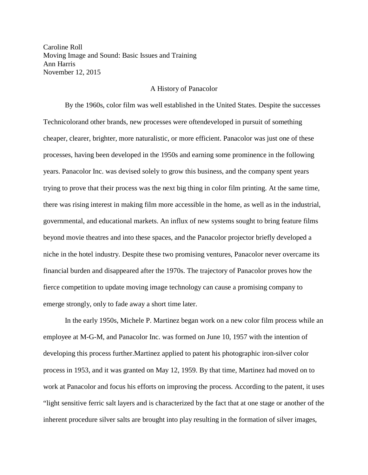Caroline Roll Moving Image and Sound: Basic Issues and Training Ann Harris November 12, 2015

## A History of Panacolor

 processes, having been developed in the 1950s and earning some prominence in the following years. Panacolor Inc. was devised solely to grow this business, and the company spent years By the 1960s, color film was well established in the United States. Despite the successes Technicolorand other brands, new processes were oftendeveloped in pursuit of something cheaper, clearer, brighter, more naturalistic, or more efficient. Panacolor was just one of these trying to prove that their process was the next big thing in color film printing. At the same time, there was rising interest in making film more accessible in the home, as well as in the industrial, governmental, and educational markets. An influx of new systems sought to bring feature films beyond movie theatres and into these spaces, and the Panacolor projector briefly developed a niche in the hotel industry. Despite these two promising ventures, Panacolor never overcame its financial burden and disappeared after the 1970s. The trajectory of Panacolor proves how the fierce competition to update moving image technology can cause a promising company to emerge strongly, only to fade away a short time later.

 work at Panacolor and focus his efforts on improving the process. According to the patent, it uses In the early 1950s, Michele P. Martinez began work on a new color film process while an employee at M-G-M, and Panacolor Inc. was formed on June 10, 1957 with the intention of developing this process further.Martinez applied to patent his photographic iron-silver color process in 1953, and it was granted on May 12, 1959. By that time, Martinez had moved on to "light sensitive ferric salt layers and is characterized by the fact that at one stage or another of the inherent procedure silver salts are brought into play resulting in the formation of silver images,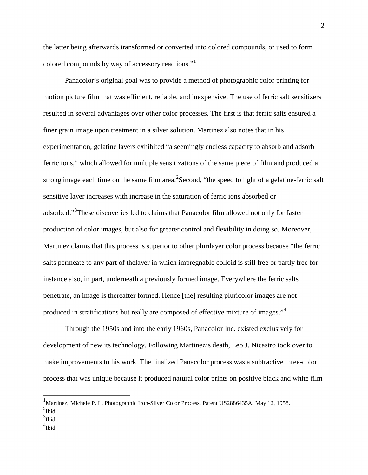the latter being afterwards transformed or converted into colored compounds, or used to form colored compounds by way of accessory reactions."[1](#page-1-0)

 motion picture film that was efficient, reliable, and inexpensive. The use of ferric salt sensitizers Panacolor's original goal was to provide a method of photographic color printing for resulted in several advantages over other color processes. The first is that ferric salts ensured a finer grain image upon treatment in a silver solution. Martinez also notes that in his experimentation, gelatine layers exhibited "a seemingly endless capacity to absorb and adsorb ferric ions," which allowed for multiple sensitizations of the same piece of film and produced a strong image each time on the same film area.<sup>[2](#page-1-1)</sup> Second, "the speed to light of a gelatine-ferric salt sensitive layer increases with increase in the saturation of ferric ions absorbed or adsorbed."<sup>[3](#page-1-2)</sup>These discoveries led to claims that Panacolor film allowed not only for faster production of color images, but also for greater control and flexibility in doing so. Moreover, Martinez claims that this process is superior to other plurilayer color process because "the ferric salts permeate to any part of thelayer in which impregnable colloid is still free or partly free for instance also, in part, underneath a previously formed image. Everywhere the ferric salts penetrate, an image is thereafter formed. Hence [the] resulting pluricolor images are not produced in stratifications but really are composed of effective mixture of images."[4](#page-1-3)

Through the 1950s and into the early 1960s, Panacolor Inc. existed exclusively for development of new its technology. Following Martinez's death, Leo J. Nicastro took over to make improvements to his work. The finalized Panacolor process was a subtractive three-color process that was unique because it produced natural color prints on positive black and white film

<span id="page-1-0"></span> $^{2}$ Ibid. <sup>1</sup>Martinez, Michele P. L. Photographic Iron-Silver Color Process. Patent US2886435A. May 12, 1958.

<span id="page-1-2"></span><span id="page-1-1"></span> $\frac{3}{1}$ Ibid.

<span id="page-1-3"></span><sup>4</sup> Ibid.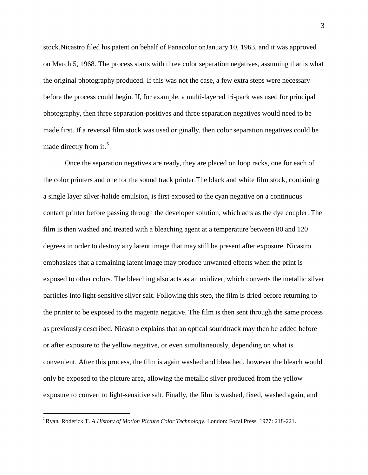stock.Nicastro filed his patent on behalf of Panacolor onJanuary 10, 1963, and it was approved on March 5, 1968. The process starts with three color separation negatives, assuming that is what the original photography produced. If this was not the case, a few extra steps were necessary before the process could begin. If, for example, a multi-layered tri-pack was used for principal photography, then three separation-positives and three separation negatives would need to be made first. If a reversal film stock was used originally, then color separation negatives could be made directly from it.<sup>[5](#page-2-0)</sup>

 the color printers and one for the sound track printer.The black and white film stock, containing degrees in order to destroy any latent image that may still be present after exposure. Nicastro convenient. After this process, the film is again washed and bleached, however the bleach would only be exposed to the picture area, allowing the metallic silver produced from the yellow exposure to convert to light-sensitive salt. Finally, the film is washed, fixed, washed again, and Once the separation negatives are ready, they are placed on loop racks, one for each of a single layer silver-halide emulsion, is first exposed to the cyan negative on a continuous contact printer before passing through the developer solution, which acts as the dye coupler. The film is then washed and treated with a bleaching agent at a temperature between 80 and 120 emphasizes that a remaining latent image may produce unwanted effects when the print is exposed to other colors. The bleaching also acts as an oxidizer, which converts the metallic silver particles into light-sensitive silver salt. Following this step, the film is dried before returning to the printer to be exposed to the magenta negative. The film is then sent through the same process as previously described. Nicastro explains that an optical soundtrack may then be added before or after exposure to the yellow negative, or even simultaneously, depending on what is

<span id="page-2-0"></span><sup>5</sup> Ryan, Roderick T. *A History of Motion Picture Color Technology*. London: Focal Press, 1977: 218-221.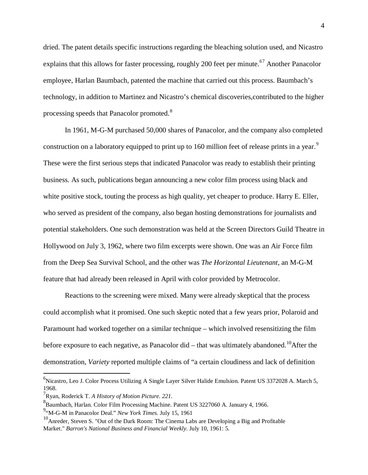dried. The patent details specific instructions regarding the bleaching solution used, and Nicastro explains that this allows for faster processing, roughly 200 feet per minute.<sup>[67](#page-3-0)</sup> Another Panacolor employee, Harlan Baumbach, patented the machine that carried out this process. Baumbach's technology, in addition to Martinez and Nicastro's chemical discoveries,contributed to the higher processing speeds that Panacolor promoted.<sup>8</sup>

 In 1961, M-G-M purchased 50,000 shares of Panacolor, and the company also completed construction on a laboratory equipped to print up to 160 million feet of release prints in a year.<sup>[9](#page-3-0)</sup> These were the first serious steps that indicated Panacolor was ready to establish their printing business. As such, publications began announcing a new color film process using black and white positive stock, touting the process as high quality, yet cheaper to produce. Harry E. Eller, who served as president of the company, also began hosting demonstrations for journalists and potential stakeholders. One such demonstration was held at the Screen Directors Guild Theatre in Hollywood on July 3, 1962, where two film excerpts were shown. One was an Air Force film from the Deep Sea Survival School, and the other was *The Horizontal Lieutenant*, an M-G-M feature that had already been released in April with color provided by Metrocolor.

 demonstration, *Variety* reported multiple claims of "a certain cloudiness and lack of definition Reactions to the screening were mixed. Many were already skeptical that the process could accomplish what it promised. One such skeptic noted that a few years prior, Polaroid and Paramount had worked together on a similar technique – which involved resensitizing the film before exposure to each negative, as Panacolor did – that was ultimately abandoned.<sup>[10](#page-3-0)</sup>After the

<span id="page-3-0"></span><sup>&</sup>lt;sup>6</sup>Nicastro, Leo J. Color Process Utilizing A Single Layer Silver Halide Emulsion. Patent US 3372028 A. March 5, 1968.

<sup>7</sup> Ryan, Roderick T. *A History of Motion Picture. 221.* 

<sup>&</sup>lt;sup>8</sup> Baumbach, Harlan. Color Film Processing Machine. Patent US 3227060 A. January 4, 1966.

<sup>&</sup>lt;sup>9</sup> M-G-M in Panacolor Deal." *New York Times*. July 15, 1961

 $10<sup>10</sup>$ Anreder, Steven S. "Out of the Dark Room: The Cinema Labs are Developing a Big and Profitable Market." *Barron's National Business and Financial Weekly*. July 10, 1961: 5.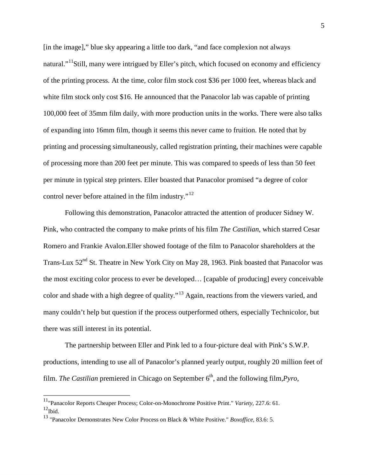of the printing process. At the time, color film stock cost \$36 per 1000 feet, whereas black and white film stock only cost \$16. He announced that the Panacolor lab was capable of printing of expanding into 16mm film, though it seems this never came to fruition. He noted that by printing and processing simultaneously, called registration printing, their machines were capable [in the image]," blue sky appearing a little too dark, "and face complexion not always natural."<sup>[11](#page-4-0)</sup>Still, many were intrigued by Eller's pitch, which focused on economy and efficiency 100,000 feet of 35mm film daily, with more production units in the works. There were also talks of processing more than 200 feet per minute. This was compared to speeds of less than 50 feet per minute in typical step printers. Eller boasted that Panacolor promised "a degree of color control never before attained in the film industry."<sup>[12](#page-4-0)</sup>

 there was still interest in its potential. Following this demonstration, Panacolor attracted the attention of producer Sidney W. Pink, who contracted the company to make prints of his film *The Castilian*, which starred Cesar Romero and Frankie Avalon.Eller showed footage of the film to Panacolor shareholders at the Trans-Lux  $52<sup>nd</sup>$  St. Theatre in New York City on May 28, 1963. Pink boasted that Panacolor was the most exciting color process to ever be developed… [capable of producing] every conceivable color and shade with a high degree of quality."[13](#page-4-0) Again, reactions from the viewers varied, and many couldn't help but question if the process outperformed others, especially Technicolor, but

The partnership between Eller and Pink led to a four-picture deal with Pink's S.W.P. productions, intending to use all of Panacolor's planned yearly output, roughly 20 million feet of film. *The Castilian* premiered in Chicago on September  $6<sup>th</sup>$ , and the following film,*Pyro*,

<span id="page-4-0"></span> 11"Panacolor Reports Cheaper Process; Color-on-Monochrome Positive Print." *Variety,* 227.6: 61.  $12$ Ibid.

 13 "Panacolor Demonstrates New Color Process on Black & White Positive." *Boxoffice*, 83.6: 5.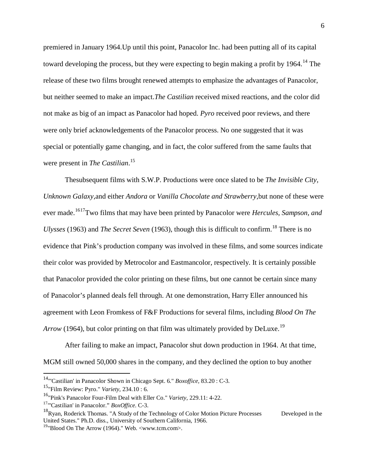toward developing the process, but they were expecting to begin making a profit by 1964.<sup>14</sup> The release of these two films brought renewed attempts to emphasize the advantages of Panacolor, were only brief acknowledgements of the Panacolor process. No one suggested that it was premiered in January 1964.Up until this point, Panacolor Inc. had been putting all of its capital but neither seemed to make an impact.*The Castilian* received mixed reactions, and the color did not make as big of an impact as Panacolor had hoped. *Pyro* received poor reviews, and there special or potentially game changing, and in fact, the color suffered from the same faults that were present in *The Castilian*. [15](#page-5-0) 

Thesubsequent films with S.W.P. Productions were once slated to be *The Invisible City, Unknown Galaxy,*and either *Andora* or *Vanilla Chocolate and Strawberry*,but none of these were ever made.<sup>1617</sup>Two films that may have been printed by Panacolor were *Hercules, Sampson, and Ulysses* (1963) and *The Secret Seven* (1963), though this is difficult to confirm.<sup>[18](#page-5-0)</sup> There is no evidence that Pink's production company was involved in these films, and some sources indicate their color was provided by Metrocolor and Eastmancolor, respectively. It is certainly possible that Panacolor provided the color printing on these films, but one cannot be certain since many of Panacolor's planned deals fell through. At one demonstration, Harry Eller announced his agreement with Leon Fromkess of F&F Productions for several films, including *Blood On The Arrow* (1964), but color printing on that film was ultimately provided by DeLuxe.<sup>19</sup>

After failing to make an impact, Panacolor shut down production in 1964. At that time, MGM still owned 50,000 shares in the company, and they declined the option to buy another

<span id="page-5-0"></span> 14"'Castilian' in Panacolor Shown in Chicago Sept. 6." *Boxoffice,* 83.20 : C-3.

 15"Film Review: Pyro." *Variety,* 234.10 : 6.

 16"Pink's Panacolor Four-Film Deal with Eller Co." *Variety,* 229.11: 4-22.

<sup>17&</sup>quot;'Castilian' in Panacolor." *BoxOffice.* C-3.

Developed in the  $18R$ yan, Roderick Thomas. "A Study of the Technology of Color Motion Picture Processes United States." Ph.D. diss., University of Southern California, 1966.

<sup>19&</sup>quot;Blood On The Arrow (1964)." Web. <[www.tcm.com>](www.tcm.com).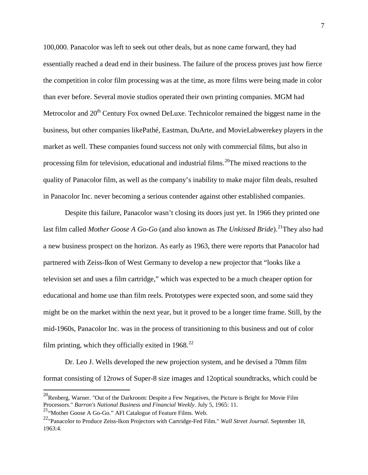market as well. These companies found success not only with commercial films, but also in quality of Panacolor film, as well as the company's inability to make major film deals, resulted 100,000. Panacolor was left to seek out other deals, but as none came forward, they had essentially reached a dead end in their business. The failure of the process proves just how fierce the competition in color film processing was at the time, as more films were being made in color than ever before. Several movie studios operated their own printing companies. MGM had Metrocolor and 20<sup>th</sup> Century Fox owned DeLuxe. Technicolor remained the biggest name in the business, but other companies likePathé, Eastman, DuArte, and MovieLabwerekey players in the processing film for television, educational and industrial films.<sup>[20](#page-6-0)</sup>The mixed reactions to the in Panacolor Inc. never becoming a serious contender against other established companies.

 Despite this failure, Panacolor wasn't closing its doors just yet. In 1966 they printed one partnered with Zeiss-Ikon of West Germany to develop a new projector that "looks like a educational and home use than film reels. Prototypes were expected soon, and some said they last film called *Mother Goose A Go-Go* (and also known as *The Unkissed Bride*).<sup>[21](#page-6-0)</sup>They also had a new business prospect on the horizon. As early as 1963, there were reports that Panacolor had television set and uses a film cartridge," which was expected to be a much cheaper option for might be on the market within the next year, but it proved to be a longer time frame. Still, by the mid-1960s, Panacolor Inc. was in the process of transitioning to this business and out of color film printing, which they officially exited in  $1968$ <sup>[22](#page-6-0)</sup>

Dr. Leo J. Wells developed the new projection system, and he devised a 70mm film format consisting of 12rows of Super-8 size images and 12optical soundtracks, which could be

<span id="page-6-0"></span> $^{20}$ Renberg, Warner. "Out of the Darkroom: Despite a Few Negatives, the Picture is Bright for Movie Film Processors." *Barron's National Business and Financial Weekly*. July 5, 1965: 11.

<sup>21&</sup>quot;Mother Goose A Go-Go." AFI Catalogue of Feature Films. Web.

<sup>22&</sup>quot;Panacolor to Produce Zeiss-Ikon Projectors with Cartridge-Fed Film." *Wall Street Journal*. September 18, 1963:4.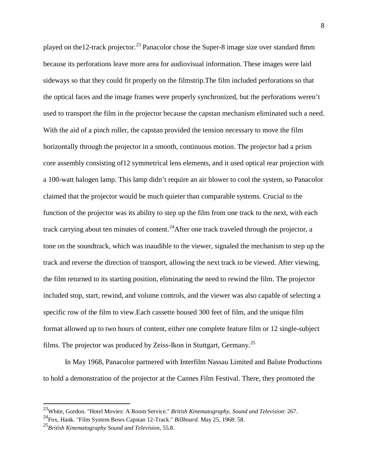because its perforations leave more area for audiovisual information. These images were laid the optical faces and the image frames were properly synchronized, but the perforations weren't used to transport the film in the projector because the capstan mechanism eliminated such a need. claimed that the projector would be much quieter than comparable systems. Crucial to the the film returned to its starting position, eliminating the need to rewind the film. The projector played on the 12-track projector.<sup>[23](#page-7-0)</sup> Panacolor chose the Super-8 image size over standard 8mm sideways so that they could fit properly on the filmstrip.The film included perforations so that With the aid of a pinch roller, the capstan provided the tension necessary to move the film horizontally through the projector in a smooth, continuous motion. The projector had a prism core assembly consisting of12 symmetrical lens elements, and it used optical rear projection with a 100-watt halogen lamp. This lamp didn't require an air blower to cool the system, so Panacolor function of the projector was its ability to step up the film from one track to the next, with each track carrying about ten minutes of content.<sup>[24](#page-7-0)</sup> After one track traveled through the projector, a tone on the soundtrack, which was inaudible to the viewer, signaled the mechanism to step up the track and reverse the direction of transport, allowing the next track to be viewed. After viewing, included stop, start, rewind, and volume controls, and the viewer was also capable of selecting a specific row of the film to view.Each cassette housed 300 feet of film, and the unique film format allowed up to two hours of content, either one complete feature film or 12 single-subject films. The projector was produced by Zeiss-Ikon in Stuttgart, Germany.[25](#page-7-0)

In May 1968, Panacolor partnered with Interfilm Nassau Limited and Balute Productions to hold a demonstration of the projector at the Cannes Film Festival. There, they promoted the

 $\overline{\phantom{a}}$ 

<span id="page-7-0"></span><sup>&</sup>lt;sup>23</sup>White, Gordon. "Hotel Movies: A Room Service." *British Kinematography, Sound and Television*: 267.<br><sup>24</sup>Fox, Hank. "Film System Bows Capstan 12-Track." *Billboard*. May 25, 1968: 58.

 <sup>25</sup>*British Kinematography Sound and Television,* 55.8.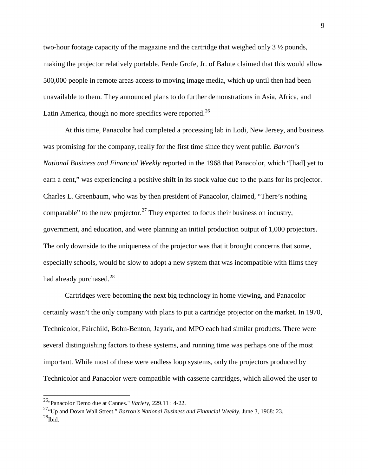two-hour footage capacity of the magazine and the cartridge that weighed only 3 ½ pounds, making the projector relatively portable. Ferde Grofe, Jr. of Balute claimed that this would allow 500,000 people in remote areas access to moving image media, which up until then had been unavailable to them. They announced plans to do further demonstrations in Asia, Africa, and Latin America, though no more specifics were reported.<sup>[26](#page-8-0)</sup>

At this time, Panacolor had completed a processing lab in Lodi, New Jersey, and business was promising for the company, really for the first time since they went public. *Barron's National Business and Financial Weekly* reported in the 1968 that Panacolor, which "[had] yet to earn a cent," was experiencing a positive shift in its stock value due to the plans for its projector. Charles L. Greenbaum, who was by then president of Panacolor, claimed, "There's nothing comparable" to the new projector.<sup>[27](#page-8-0)</sup> They expected to focus their business on industry, government, and education, and were planning an initial production output of 1,000 projectors. The only downside to the uniqueness of the projector was that it brought concerns that some, especially schools, would be slow to adopt a new system that was incompatible with films they had already purchased.<sup>28</sup>

Cartridges were becoming the next big technology in home viewing, and Panacolor certainly wasn't the only company with plans to put a cartridge projector on the market. In 1970, Technicolor, Fairchild, Bohn-Benton, Jayark, and MPO each had similar products. There were several distinguishing factors to these systems, and running time was perhaps one of the most important. While most of these were endless loop systems, only the projectors produced by Technicolor and Panacolor were compatible with cassette cartridges, which allowed the user to

<sup>26&</sup>quot;Panacolor Demo due at Cannes." *Variety*, 229.11 : 4-22.

<span id="page-8-0"></span><sup>27&</sup>quot;Up and Down Wall Street." *Barron's National Business and Financial Weekly.* June 3, 1968: 23.  $^{28}$ Ibid.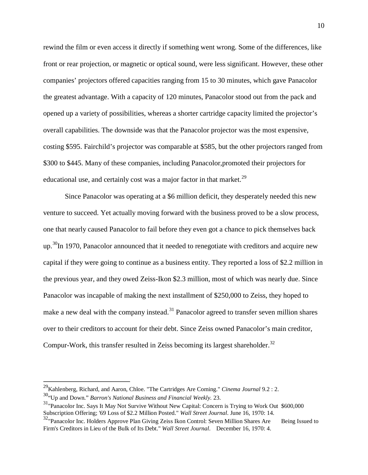overall capabilities. The downside was that the Panacolor projector was the most expensive, rewind the film or even access it directly if something went wrong. Some of the differences, like front or rear projection, or magnetic or optical sound, were less significant. However, these other companies' projectors offered capacities ranging from 15 to 30 minutes, which gave Panacolor the greatest advantage. With a capacity of 120 minutes, Panacolor stood out from the pack and opened up a variety of possibilities, whereas a shorter cartridge capacity limited the projector's costing \$595. Fairchild's projector was comparable at \$585, but the other projectors ranged from \$300 to \$445. Many of these companies, including Panacolor,promoted their projectors for educational use, and certainly cost was a major factor in that market.<sup>[29](#page-9-0)</sup>

Since Panacolor was operating at a \$6 million deficit, they desperately needed this new venture to succeed. Yet actually moving forward with the business proved to be a slow process, one that nearly caused Panacolor to fail before they even got a chance to pick themselves back up.[30I](#page-9-0)n 1970, Panacolor announced that it needed to renegotiate with creditors and acquire new capital if they were going to continue as a business entity. They reported a loss of \$2.2 million in the previous year, and they owed Zeiss-Ikon \$2.3 million, most of which was nearly due. Since Panacolor was incapable of making the next installment of \$250,000 to Zeiss, they hoped to make a new deal with the company instead.<sup>31</sup> Panacolor agreed to transfer seven million shares over to their creditors to account for their debt. Since Zeiss owned Panacolor's main creditor, Compur-Work, this transfer resulted in Zeiss becoming its largest shareholder.<sup>[32](#page-9-0)</sup>

<span id="page-9-0"></span> 29Kahlenberg, Richard, and Aaron, Chloe. "The Cartridges Are Coming." *Cinema Journal* 9.2 : 2.

<sup>30&</sup>quot;Up and Down." *Barron's National Business and Financial Weekly.* 23.

<sup>&</sup>lt;sup>31</sup>"Panacolor Inc. Says It May Not Survive Without New Capital: Concern is Trying to Work Out \$600,000 Subscription Offering; '69 Loss of \$2.2 Million Posted." *Wall Street Journal*. June 16, 1970: 14.

<sup>32&</sup>lt;sup>32</sup>"Panacolor Inc. Holders Approve Plan Giving Zeiss Ikon Control: Seven Million Shares Are Being Issued to Firm's Creditors in Lieu of the Bulk of Its Debt." *Wall Street Journal*. December 16, 1970: 4.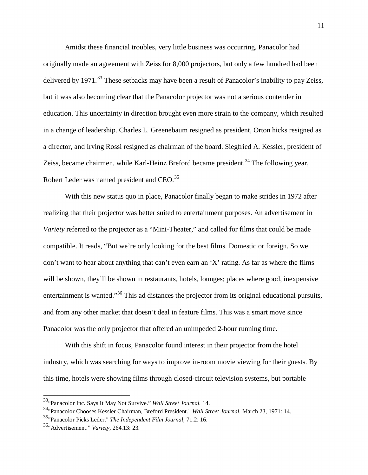Zeiss, became chairmen, while Karl-Heinz Breford became president.<sup>34</sup> The following year, Amidst these financial troubles, very little business was occurring. Panacolor had originally made an agreement with Zeiss for 8,000 projectors, but only a few hundred had been delivered by 1971.<sup>[33](#page-10-0)</sup> These setbacks may have been a result of Panacolor's inability to pay Zeiss, but it was also becoming clear that the Panacolor projector was not a serious contender in education. This uncertainty in direction brought even more strain to the company, which resulted in a change of leadership. Charles L. Greenebaum resigned as president, Orton hicks resigned as a director, and Irving Rossi resigned as chairman of the board. Siegfried A. Kessler, president of Robert Leder was named president and CEO.<sup>[35](#page-10-0)</sup>

 realizing that their projector was better suited to entertainment purposes. An advertisement in *Variety* referred to the projector as a "Mini-Theater," and called for films that could be made With this new status quo in place, Panacolor finally began to make strides in 1972 after compatible. It reads, "But we're only looking for the best films. Domestic or foreign. So we don't want to hear about anything that can't even earn an 'X' rating. As far as where the films will be shown, they'll be shown in restaurants, hotels, lounges; places where good, inexpensive entertainment is wanted."<sup>[36](#page-10-0)</sup> This ad distances the projector from its original educational pursuits, and from any other market that doesn't deal in feature films. This was a smart move since Panacolor was the only projector that offered an unimpeded 2-hour running time.

 With this shift in focus, Panacolor found interest in their projector from the hotel industry, which was searching for ways to improve in-room movie viewing for their guests. By this time, hotels were showing films through closed-circuit television systems, but portable

<span id="page-10-0"></span>

<sup>&</sup>lt;sup>34</sup> "Panacolor Chooses Kessler Chairman, Breford President." *Wall Street Journal.* March 23, 1971: 14.

<sup>35&</sup>quot;Panacolor Picks Leder." *The Independent Film Journal,* 71.2: 16.

<sup>36&</sup>quot;Advertisement." *Variety*, 264.13: 23.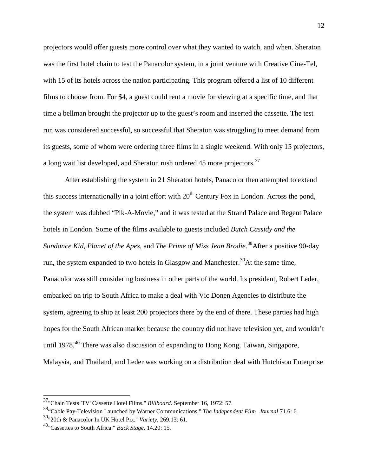projectors would offer guests more control over what they wanted to watch, and when. Sheraton was the first hotel chain to test the Panacolor system, in a joint venture with Creative Cine-Tel, with 15 of its hotels across the nation participating. This program offered a list of 10 different films to choose from. For \$4, a guest could rent a movie for viewing at a specific time, and that time a bellman brought the projector up to the guest's room and inserted the cassette. The test run was considered successful, so successful that Sheraton was struggling to meet demand from its guests, some of whom were ordering three films in a single weekend. With only 15 projectors, a long wait list developed, and Sheraton rush ordered 45 more projectors.<sup>37</sup>

After establishing the system in 21 Sheraton hotels, Panacolor then attempted to extend this success internationally in a joint effort with  $20<sup>th</sup>$  Century Fox in London. Across the pond, the system was dubbed "Pik-A-Movie," and it was tested at the Strand Palace and Regent Palace hotels in London. Some of the films available to guests included *Butch Cassidy and the Sundance Kid*, *Planet of the Apes*, and *The Prime of Miss Jean Brodie*. [38](#page-11-0)After a positive 90-day run, the system expanded to two hotels in Glasgow and Manchester.<sup>[39](#page-11-0)</sup>At the same time, Panacolor was still considering business in other parts of the world. Its president, Robert Leder, embarked on trip to South Africa to make a deal with Vic Donen Agencies to distribute the system, agreeing to ship at least 200 projectors there by the end of there. These parties had high hopes for the South African market because the country did not have television yet, and wouldn't until 1978.<sup>40</sup> There was also discussion of expanding to Hong Kong, Taiwan, Singapore, Malaysia, and Thailand, and Leder was working on a distribution deal with Hutchison Enterprise

<span id="page-11-0"></span><sup>37&</sup>quot;Chain Tests 'TV' Cassette Hotel Films." *Billboard.* September 16, 1972: 57.

<sup>38&</sup>quot;Cable Pay-Television Launched by Warner Communications." *The Independent Film Journal* 71.6: 6.

 39"20th & Panacolor In UK Hotel Pix." *Variety,* 269.13: 61.

 40"Cassettes to South Africa." *Back Stage,* 14.20: 15.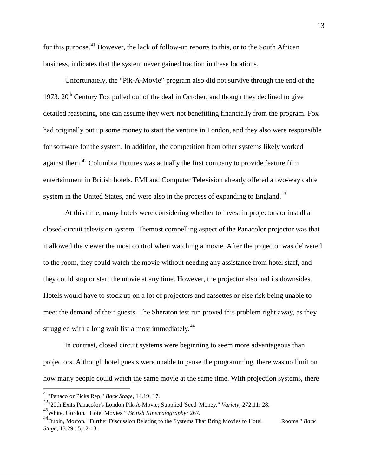for this purpose.<sup>41</sup> However, the lack of follow-up reports to this, or to the South African business, indicates that the system never gained traction in these locations.

against them.<sup>[42](#page-12-0)</sup> Columbia Pictures was actually the first company to provide feature film Unfortunately, the "Pik-A-Movie" program also did not survive through the end of the 1973.  $20<sup>th</sup>$  Century Fox pulled out of the deal in October, and though they declined to give detailed reasoning, one can assume they were not benefitting financially from the program. Fox had originally put up some money to start the venture in London, and they also were responsible for software for the system. In addition, the competition from other systems likely worked entertainment in British hotels. EMI and Computer Television already offered a two-way cable system in the United States, and were also in the process of expanding to England.<sup>[43](#page-12-0)</sup>

At this time, many hotels were considering whether to invest in projectors or install a closed-circuit television system. Themost compelling aspect of the Panacolor projector was that it allowed the viewer the most control when watching a movie. After the projector was delivered to the room, they could watch the movie without needing any assistance from hotel staff, and they could stop or start the movie at any time. However, the projector also had its downsides. Hotels would have to stock up on a lot of projectors and cassettes or else risk being unable to meet the demand of their guests. The Sheraton test run proved this problem right away, as they struggled with a long wait list almost immediately. $44$ 

 projectors. Although hotel guests were unable to pause the programming, there was no limit on In contrast, closed circuit systems were beginning to seem more advantageous than how many people could watch the same movie at the same time. With projection systems, there

1

<span id="page-12-0"></span> 41"Panacolor Picks Rep." *Back Stage,* 14.19: 17.

 42"20th Exits Panacolor's London Pik-A-Movie; Supplied 'Seed' Money." *Variety,* 272.11: 28.

<sup>43</sup>White, Gordon. "Hotel Movies." *British Kinematography:* 267.

<sup>&</sup>lt;sup>44</sup>Dubin, Morton. "Further Discussion Relating to the Systems That Bring Movies to Hotel Rooms." *Back Stage,* 13.29 : 5,12-13.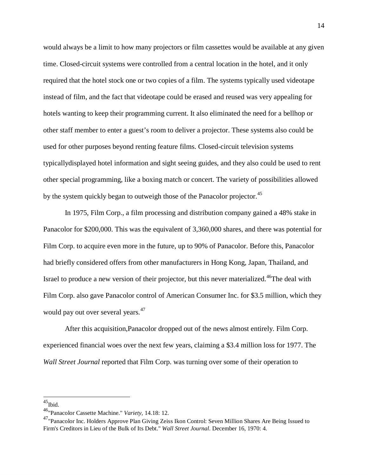would always be a limit to how many projectors or film cassettes would be available at any given instead of film, and the fact that videotape could be erased and reused was very appealing for time. Closed-circuit systems were controlled from a central location in the hotel, and it only required that the hotel stock one or two copies of a film. The systems typically used videotape hotels wanting to keep their programming current. It also eliminated the need for a bellhop or other staff member to enter a guest's room to deliver a projector. These systems also could be used for other purposes beyond renting feature films. Closed-circuit television systems typicallydisplayed hotel information and sight seeing guides, and they also could be used to rent other special programming, like a boxing match or concert. The variety of possibilities allowed by the system quickly began to outweigh those of the Panacolor projector.<sup>[45](#page-13-0)</sup>

would pay out over several years.<sup>47</sup> In 1975, Film Corp., a film processing and distribution company gained a 48% stake in Panacolor for \$200,000. This was the equivalent of 3,360,000 shares, and there was potential for Film Corp. to acquire even more in the future, up to 90% of Panacolor. Before this, Panacolor had briefly considered offers from other manufacturers in Hong Kong, Japan, Thailand, and Israel to produce a new version of their projector, but this never materialized.<sup>46</sup>The deal with Film Corp. also gave Panacolor control of American Consumer Inc. for \$3.5 million, which they

After this acquisition,Panacolor dropped out of the news almost entirely. Film Corp. experienced financial woes over the next few years, claiming a \$3.4 million loss for 1977. The *Wall Street Journal* reported that Film Corp. was turning over some of their operation to

<span id="page-13-0"></span> $^{45}$ Ibid.

 46"Panacolor Cassette Machine." *Variety,* 14.18: 12.

<sup>&</sup>lt;sup>47</sup>"Panacolor Inc. Holders Approve Plan Giving Zeiss Ikon Control: Seven Million Shares Are Being Issued to Firm's Creditors in Lieu of the Bulk of Its Debt." *Wall Street Journal*. December 16, 1970: 4.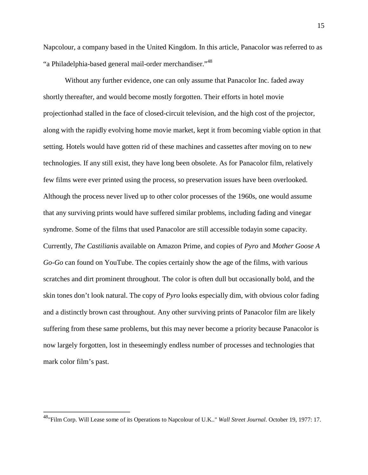Napcolour, a company based in the United Kingdom. In this article, Panacolor was referred to as "a Philadelphia-based general mail-order merchandiser."[48](#page-14-0)

 technologies. If any still exist, they have long been obsolete. As for Panacolor film, relatively Without any further evidence, one can only assume that Panacolor Inc. faded away shortly thereafter, and would become mostly forgotten. Their efforts in hotel movie projectionhad stalled in the face of closed-circuit television, and the high cost of the projector, along with the rapidly evolving home movie market, kept it from becoming viable option in that setting. Hotels would have gotten rid of these machines and cassettes after moving on to new few films were ever printed using the process, so preservation issues have been overlooked. Although the process never lived up to other color processes of the 1960s, one would assume that any surviving prints would have suffered similar problems, including fading and vinegar syndrome. Some of the films that used Panacolor are still accessible todayin some capacity. Currently, *The Castilian*is available on Amazon Prime, and copies of *Pyro* and *Mother Goose A Go-Go* can found on YouTube. The copies certainly show the age of the films, with various scratches and dirt prominent throughout. The color is often dull but occasionally bold, and the skin tones don't look natural. The copy of *Pyro* looks especially dim, with obvious color fading and a distinctly brown cast throughout. Any other surviving prints of Panacolor film are likely suffering from these same problems, but this may never become a priority because Panacolor is now largely forgotten, lost in theseemingly endless number of processes and technologies that mark color film's past.

<u>.</u>

<span id="page-14-0"></span><sup>48&</sup>quot;Film Corp. Will Lease some of its Operations to Napcolour of U.K.." *Wall Street Journal*. October 19, 1977: 17.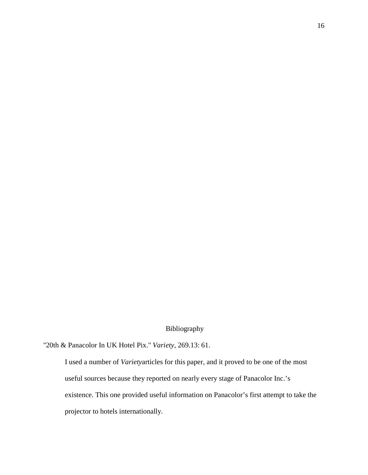## Bibliography

Bibliography "20th & Panacolor In UK Hotel Pix." *Variety,* 269.13: 61.

I used a number of *Variety*articles for this paper, and it proved to be one of the most useful sources because they reported on nearly every stage of Panacolor Inc.'s existence. This one provided useful information on Panacolor's first attempt to take the projector to hotels internationally.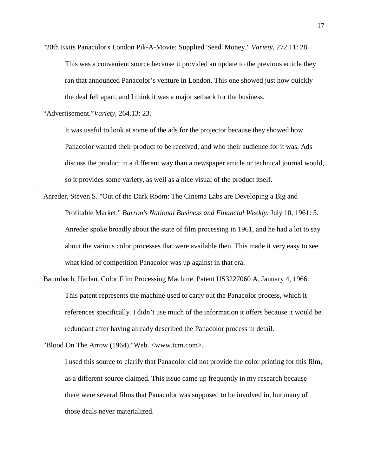"20th Exits Panacolor's London Pik-A-Movie; Supplied 'Seed' Money." *Variety,* 272.11: 28. This was a convenient source because it provided an update to the previous article they ran that announced Panacolor's venture in London. This one showed just how quickly the deal fell apart, and I think it was a major setback for the business.

"Advertisement."*Variety*, 264.13: 23.

It was useful to look at some of the ads for the projector because they showed how Panacolor wanted their product to be received, and who their audience for it was. Ads discuss the product in a different way than a newspaper article or technical journal would, so it provides some variety, as well as a nice visual of the product itself.

- what kind of competition Panacolor was up against in that era. Anreder, Steven S. "Out of the Dark Room: The Cinema Labs are Developing a Big and Profitable Market." *Barron's National Business and Financial Weekly*. July 10, 1961: 5. Anreder spoke broadly about the state of film processing in 1961, and he had a lot to say about the various color processes that were available then. This made it very easy to see
- Baumbach, Harlan. Color Film Processing Machine. Patent US3227060 A. January 4, 1966. This patent represents the machine used to carry out the Panacolor process, which it references specifically. I didn't use much of the information it offers because it would be redundant after having already described the Panacolor process in detail.

"Blood On The Arrow (1964)."Web. <<www.tcm.com>>.

I used this source to clarify that Panacolor did not provide the color printing for this film, as a different source claimed. This issue came up frequently in my research because there were several films that Panacolor was supposed to be involved in, but many of those deals never materialized.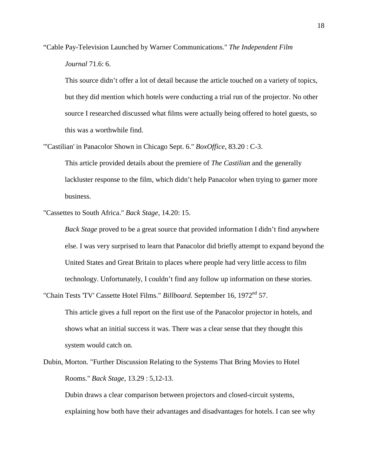"Cable Pay-Television Launched by Warner Communications." *The Independent Film Journal* 71.6: 6.

This source didn't offer a lot of detail because the article touched on a variety of topics, but they did mention which hotels were conducting a trial run of the projector. No other source I researched discussed what films were actually being offered to hotel guests, so this was a worthwhile find.

"'Castilian' in Panacolor Shown in Chicago Sept. 6." *BoxOffice,* 83.20 : C-3.

business. This article provided details about the premiere of *The Castilian* and the generally lackluster response to the film, which didn't help Panacolor when trying to garner more

"Cassettes to South Africa." *Back Stage*, 14.20: 15.

 else. I was very surprised to learn that Panacolor did briefly attempt to expand beyond the *Back Stage* proved to be a great source that provided information I didn't find anywhere United States and Great Britain to places where people had very little access to film technology. Unfortunately, I couldn't find any follow up information on these stories.

"Chain Tests 'TV' Cassette Hotel Films." *Billboard*. September 16, 1972<sup>nd</sup> 57.

This article gives a full report on the first use of the Panacolor projector in hotels, and shows what an initial success it was. There was a clear sense that they thought this system would catch on.

Dubin, Morton. "Further Discussion Relating to the Systems That Bring Movies to Hotel Rooms." *Back Stage,* 13.29 : 5,12-13.

Dubin draws a clear comparison between projectors and closed-circuit systems, explaining how both have their advantages and disadvantages for hotels. I can see why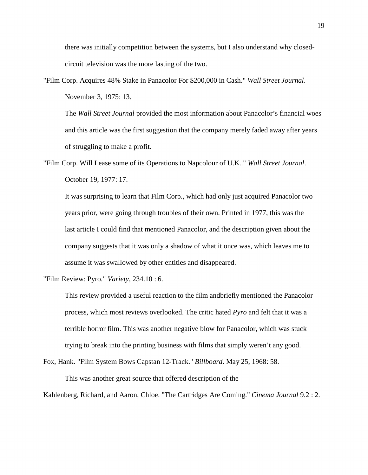there was initially competition between the systems, but I also understand why closedcircuit television was the more lasting of the two.

"Film Corp. Acquires 48% Stake in Panacolor For \$200,000 in Cash." *Wall Street Journal*. November 3, 1975: 13.

 The *Wall Street Journal* provided the most information about Panacolor's financial woes and this article was the first suggestion that the company merely faded away after years of struggling to make a profit.

"Film Corp. Will Lease some of its Operations to Napcolour of U.K.." *Wall Street Journal*. October 19, 1977: 17.

It was surprising to learn that Film Corp., which had only just acquired Panacolor two years prior, were going through troubles of their own. Printed in 1977, this was the last article I could find that mentioned Panacolor, and the description given about the company suggests that it was only a shadow of what it once was, which leaves me to assume it was swallowed by other entities and disappeared.

"Film Review: Pyro." *Variety,* 234.10 : 6.

 process, which most reviews overlooked. The critic hated *Pyro* and felt that it was a trying to break into the printing business with films that simply weren't any good. This review provided a useful reaction to the film andbriefly mentioned the Panacolor terrible horror film. This was another negative blow for Panacolor, which was stuck

Fox, Hank. "Film System Bows Capstan 12-Track." *Billboard*. May 25, 1968: 58.

This was another great source that offered description of the

This was another great source that offered description of the<br>Kahlenberg, Richard, and Aaron, Chloe. "The Cartridges Are Coming." *Cinema Journal* 9.2 : 2.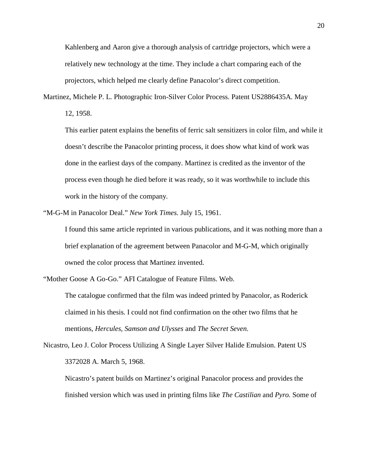Kahlenberg and Aaron give a thorough analysis of cartridge projectors, which were a relatively new technology at the time. They include a chart comparing each of the projectors, which helped me clearly define Panacolor's direct competition.

Martinez, Michele P. L. Photographic Iron-Silver Color Process. Patent US2886435A. May

12, 1958.

This earlier patent explains the benefits of ferric salt sensitizers in color film, and while it doesn't describe the Panacolor printing process, it does show what kind of work was done in the earliest days of the company. Martinez is credited as the inventor of the process even though he died before it was ready, so it was worthwhile to include this work in the history of the company.

"M-G-M in Panacolor Deal." *New York Times.* July 15, 1961.

I found this same article reprinted in various publications, and it was nothing more than a brief explanation of the agreement between Panacolor and M-G-M, which originally owned the color process that Martinez invented.

"Mother Goose A Go-Go." AFI Catalogue of Feature Films. Web.

 The catalogue confirmed that the film was indeed printed by Panacolor, as Roderick claimed in his thesis. I could not find confirmation on the other two films that he mentions, *Hercules, Samson and Ulysses* and *The Secret Seven.* 

Nicastro, Leo J. Color Process Utilizing A Single Layer Silver Halide Emulsion. Patent US 3372028 A. March 5, 1968.

Nicastro's patent builds on Martinez's original Panacolor process and provides the finished version which was used in printing films like *The Castilian* and *Pyro.* Some of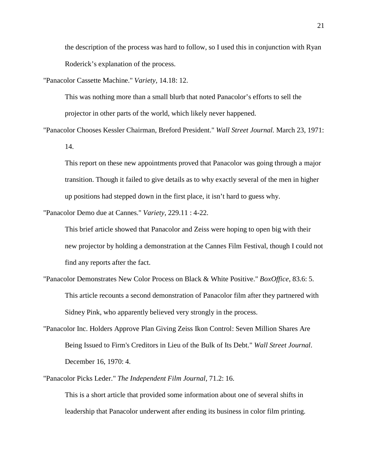the description of the process was hard to follow, so I used this in conjunction with Ryan Roderick's explanation of the process.

"Panacolor Cassette Machine." *Variety,* 14.18: 12.

This was nothing more than a small blurb that noted Panacolor's efforts to sell the projector in other parts of the world, which likely never happened.

"Panacolor Chooses Kessler Chairman, Breford President." *Wall Street Journal.* March 23, 1971: 14.

 transition. Though it failed to give details as to why exactly several of the men in higher This report on these new appointments proved that Panacolor was going through a major up positions had stepped down in the first place, it isn't hard to guess why.

"Panacolor Demo due at Cannes." *Variety*, 229.11 : 4-22.

 new projector by holding a demonstration at the Cannes Film Festival, though I could not This brief article showed that Panacolor and Zeiss were hoping to open big with their find any reports after the fact.

- "Panacolor Demonstrates New Color Process on Black & White Positive." *BoxOffice*, 83.6: 5. This article recounts a second demonstration of Panacolor film after they partnered with Sidney Pink, who apparently believed very strongly in the process.
- "Panacolor Inc. Holders Approve Plan Giving Zeiss Ikon Control: Seven Million Shares Are Being Issued to Firm's Creditors in Lieu of the Bulk of Its Debt." *Wall Street Journal*. December 16, 1970: 4.

"Panacolor Picks Leder." *The Independent Film Journal,* 71.2: 16.

 leadership that Panacolor underwent after ending its business in color film printing. This is a short article that provided some information about one of several shifts in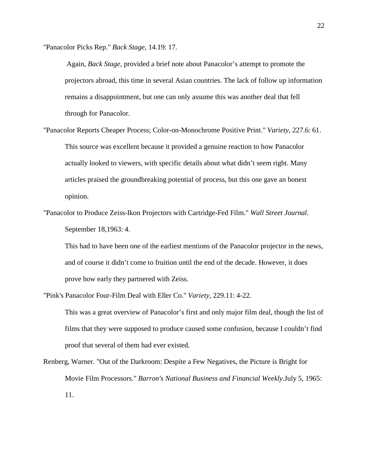"Panacolor Picks Rep." *Back Stage,* 14.19: 17.

 Again, *Back Stage,* provided a brief note about Panacolor's attempt to promote the projectors abroad, this time in several Asian countries. The lack of follow up information remains a disappointment, but one can only assume this was another deal that fell through for Panacolor.

"Panacolor Reports Cheaper Process; Color-on-Monochrome Positive Print." *Variety,* 227.6: 61. This source was excellent because it provided a genuine reaction to how Panacolor actually looked to viewers, with specific details about what didn't seem right. Many articles praised the groundbreaking potential of process, but this one gave an honest opinion.

"Panacolor to Produce Zeiss-Ikon Projectors with Cartridge-Fed Film." *Wall Street Journal*. September 18,1963: 4.

 This had to have been one of the earliest mentions of the Panacolor projector in the news, and of course it didn't come to fruition until the end of the decade. However, it does prove how early they partnered with Zeiss.

"Pink's Panacolor Four-Film Deal with Eller Co." *Variety,* 229.11: 4-22.

This was a great overview of Panacolor's first and only major film deal, though the list of films that they were supposed to produce caused some confusion, because I couldn't find proof that several of them had ever existed.

Renberg, Warner. "Out of the Darkroom: Despite a Few Negatives, the Picture is Bright for Movie Film Processors." *Barron's National Business and Financial Weekly*.July 5, 1965: 11.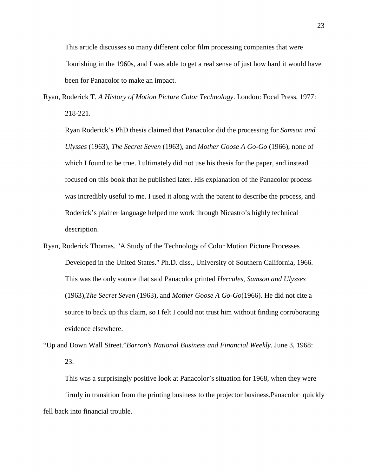This article discusses so many different color film processing companies that were flourishing in the 1960s, and I was able to get a real sense of just how hard it would have been for Panacolor to make an impact.

Ryan, Roderick T. *A History of Motion Picture Color Technology*. London: Focal Press, 1977: 218-221.

Ryan Roderick's PhD thesis claimed that Panacolor did the processing for *Samson and Ulysses* (1963), *The Secret Seven* (1963)*,* and *Mother Goose A Go-Go* (1966), none of which I found to be true. I ultimately did not use his thesis for the paper, and instead focused on this book that he published later. His explanation of the Panacolor process was incredibly useful to me. I used it along with the patent to describe the process, and Roderick's plainer language helped me work through Nicastro's highly technical description.

- (1963),*The Secret Seven* (1963), and *Mother Goose A Go-Go*(1966). He did not cite a Ryan, Roderick Thomas. "A Study of the Technology of Color Motion Picture Processes Developed in the United States." Ph.D. diss., University of Southern California, 1966. This was the only source that said Panacolor printed *Hercules, Samson and Ulysses*  source to back up this claim, so I felt I could not trust him without finding corroborating evidence elsewhere.
- "Up and Down Wall Street."*Barron's National Business and Financial Weekly.* June 3, 1968: 23.

 firmly in transition from the printing business to the projector business.Panacolor quickly fell back into financial trouble. This was a surprisingly positive look at Panacolor's situation for 1968, when they were